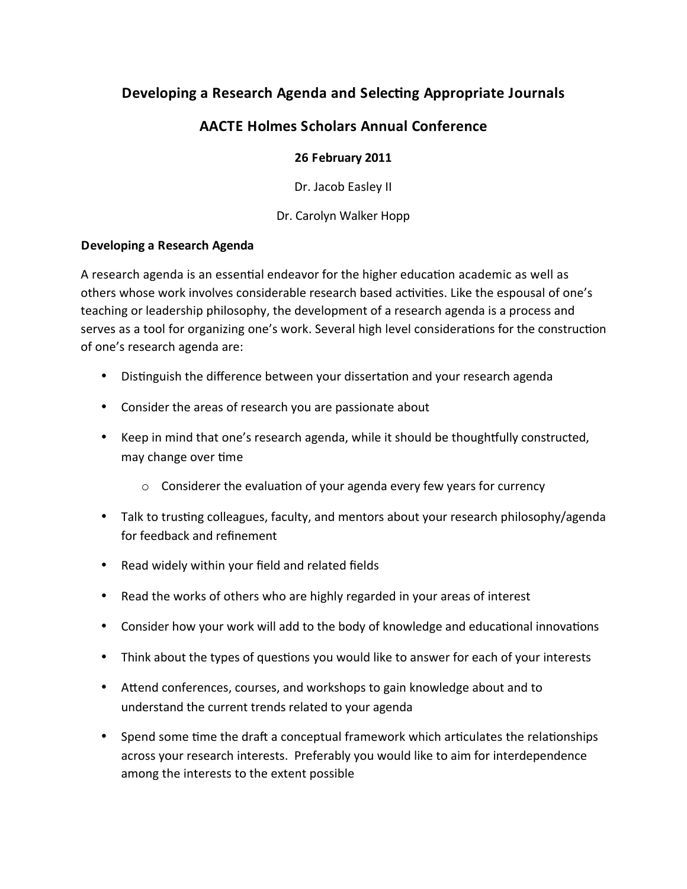# Developing a Research Agenda and Selecting Appropriate Journals

## **AACTE Holmes Scholars Annual Conference**

#### 26 February 2011

Dr. Jacob Easley II

Dr. Carolyn Walker Hopp

#### Developing a Research Agenda

A research agenda is an essential endeavor for the higher education academic as well as others whose work involves considerable research based activities. Like the espousal of one's teaching or leadership philosophy, the development of a research agenda is a process and serves as a tool for organizing one's work. Several high level considerations for the construction of one's research agenda are:

- Distinguish the difference between your dissertation and your research agenda
- Consider the areas of research you are passionate about
- Keep in mind that one's research agenda, while it should be thoughtfully constructed, may change over time
	- $\circ$  Considerer the evaluation of your agenda every few years for currency
- Talk to trusting colleagues, faculty, and mentors about your research philosophy/agenda for feedback and refinement
- Read widely within your field and related fields
- Read the works of others who are highly regarded in your areas of interest
- Consider how your work will add to the body of knowledge and educational innovations
- Think about the types of questions you would like to answer for each of your interests
- Attend conferences, courses, and workshops to gain knowledge about and to understand the current trends related to your agenda
- Spend some time the draft a conceptual framework which articulates the relationships across your research interests. Preferably you would like to aim for interdependence among the interests to the extent possible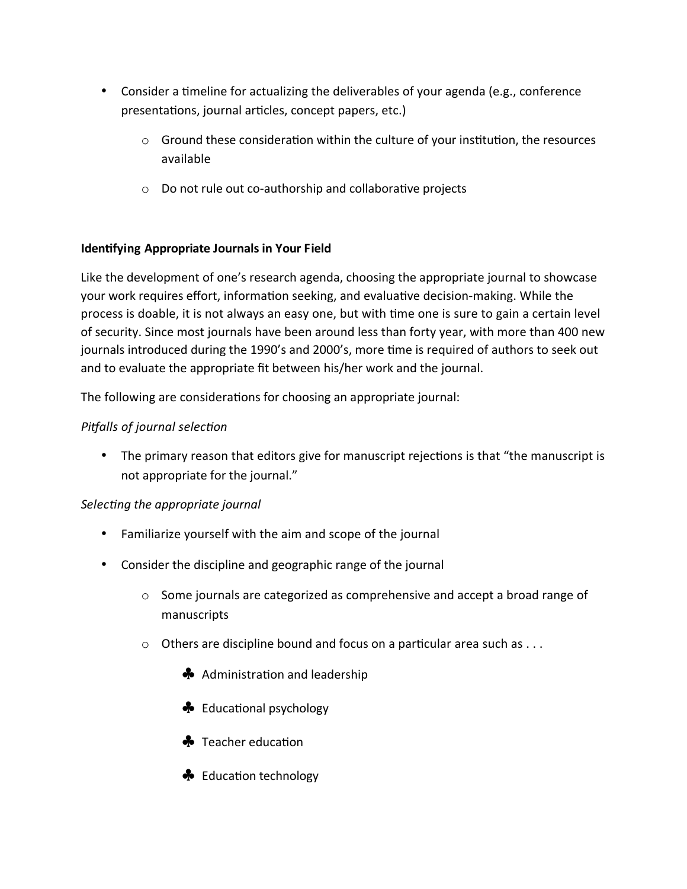- Consider a timeline for actualizing the deliverables of your agenda (e.g., conference presentations, journal articles, concept papers, etc.)
	- $\circ$  Ground these consideration within the culture of your institution, the resources available
	- Do not rule out co-authorship and collaborative projects

#### **Identifying Appropriate Journals in Your Field**

Like the development of one's research agenda, choosing the appropriate journal to showcase your work requires effort, information seeking, and evaluative decision-making. While the process is doable, it is not always an easy one, but with time one is sure to gain a certain level of security. Since most journals have been around less than forty year, with more than 400 new journals introduced during the 1990's and 2000's, more time is required of authors to seek out and to evaluate the appropriate fit between his/her work and the journal.

The following are considerations for choosing an appropriate journal:

#### Pitfalls of journal selection

• The primary reason that editors give for manuscript rejections is that "the manuscript is not appropriate for the journal."

#### Selecting the appropriate journal

- Familiarize yourself with the aim and scope of the journal
- Consider the discipline and geographic range of the journal
	- $\circ$  Some journals are categorized as comprehensive and accept a broad range of manuscripts
	- $\circ$  Others are discipline bound and focus on a particular area such as ...
		- Administration and leadership
		- ♣ Educational psychology
		- ♣ Teacher education
		- ← Education technology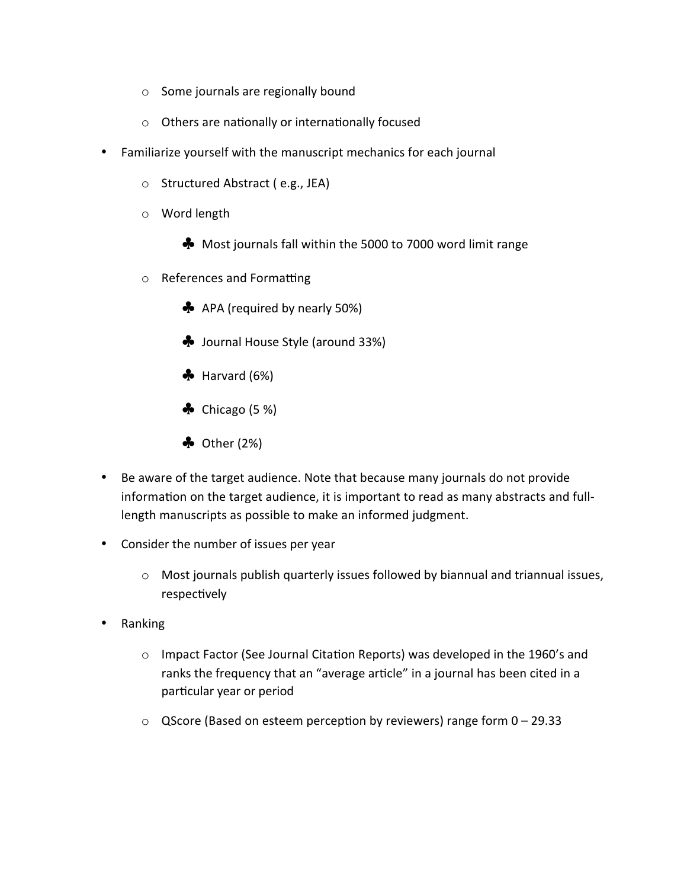- $\circ$  Some journals are regionally bound
- o Others are nationally or internationally focused
- Familiarize yourself with the manuscript mechanics for each journal
	- Structured Abstract (e.g., JEA)
	- o Word length
		- Most journals fall within the 5000 to 7000 word limit range
	- o References and Formatting
		- **A** APA (required by nearly 50%)
		- Sournal House Style (around 33%)
		- $\clubsuit$  Harvard (6%)
		- $\clubsuit$  Chicago (5 %)
		- $\clubsuit$  Other (2%)
- Be aware of the target audience. Note that because many journals do not provide information on the target audience, it is important to read as many abstracts and fulllength manuscripts as possible to make an informed judgment.
- Consider the number of issues per year
	- o Most journals publish quarterly issues followed by biannual and triannual issues, respectively
- Ranking  $\bullet$ 
	- o Impact Factor (See Journal Citation Reports) was developed in the 1960's and ranks the frequency that an "average article" in a journal has been cited in a particular year or period
	- $\circ$  QScore (Based on esteem perception by reviewers) range form 0 29.33